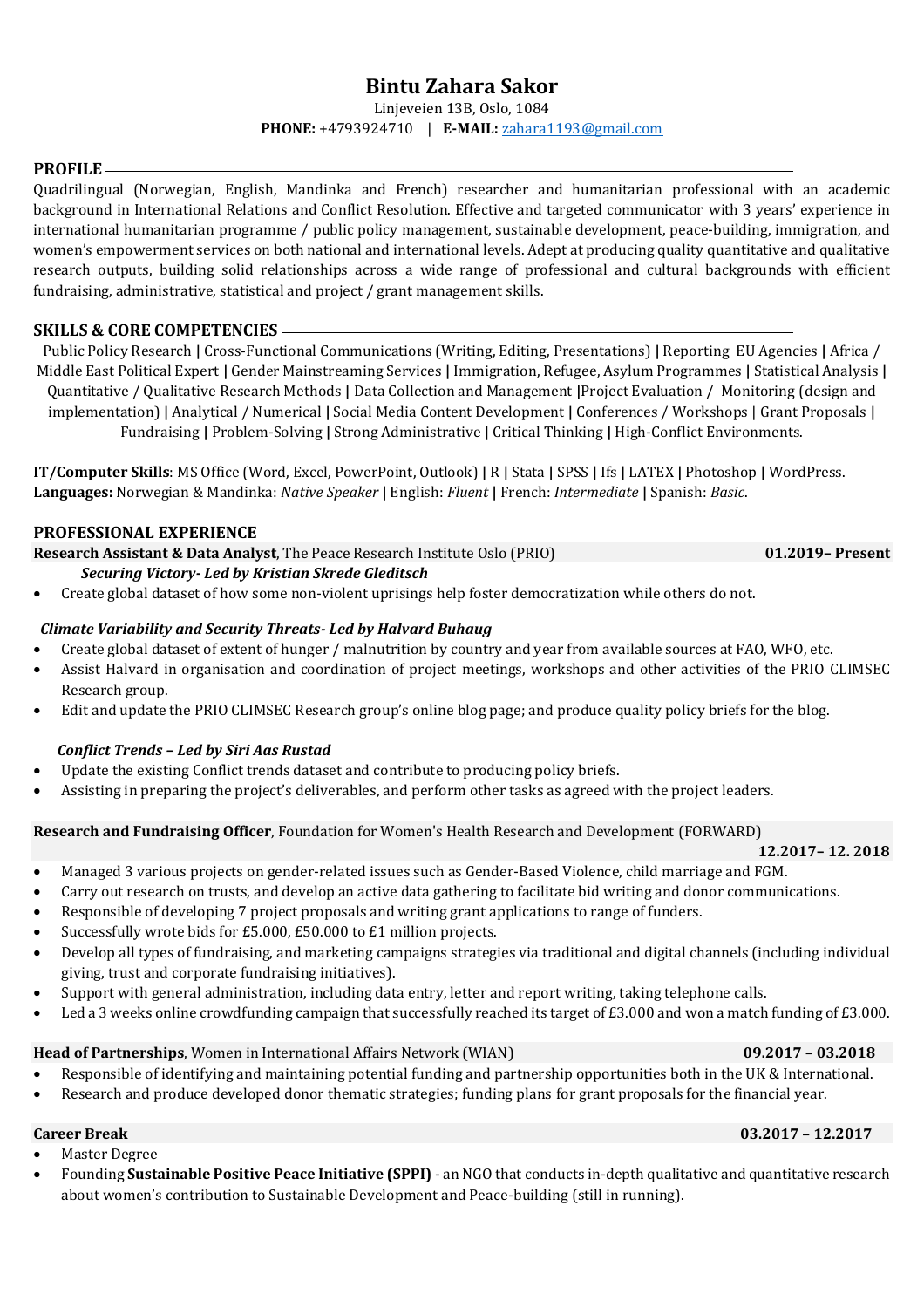# **Bintu Zahara Sakor**

Linjeveien 13B, Oslo, 1084

### **PHONE:** +4793924710 | **E-MAIL:** [zahara1193@gmail.com](mailto:zahara1193@gmail.com)

#### **PROFILE**

Quadrilingual (Norwegian, English, Mandinka and French) researcher and humanitarian professional with an academic background in International Relations and Conflict Resolution. Effective and targeted communicator with 3 years' experience in international humanitarian programme / public policy management, sustainable development, peace-building, immigration, and women's empowerment services on both national and international levels. Adept at producing quality quantitative and qualitative research outputs, building solid relationships across a wide range of professional and cultural backgrounds with efficient fundraising, administrative, statistical and project / grant management skills.

### **SKILLS & CORE COMPETENCIES**

Public Policy Research **|** Cross-Functional Communications (Writing, Editing, Presentations) **|** Reporting EU Agencies **|** Africa / Middle East Political Expert **|** Gender Mainstreaming Services **|** Immigration, Refugee, Asylum Programmes **|** Statistical Analysis **|**  Quantitative / Qualitative Research Methods **|** Data Collection and Management **|**Project Evaluation / Monitoring (design and implementation) **|** Analytical / Numerical **|** Social Media Content Development **|** Conferences / Workshops | Grant Proposals **|** Fundraising **|** Problem-Solving **|** Strong Administrative **|** Critical Thinking **|** High-Conflict Environments.

**IT/Computer Skills**: MS Office (Word, Excel, PowerPoint, Outlook) **|** R **|** Stata **|** SPSS **|** Ifs **|** LATEX **|** Photoshop **|** WordPress. **Languages:** Norwegian & Mandinka: *Native Speaker* **|** English: *Fluent* **|** French: *Intermediate* **|** Spanish: *Basic*.

#### **PROFESSIONAL EXPERIENCE**

**Research Assistant & Data Analyst**, The Peace Research Institute Oslo (PRIO) **01.2019– Present**

### *Securing Victory- Led by Kristian Skrede Gleditsch*

• Create global dataset of how some non-violent uprisings help foster democratization while others do not.

### *Climate Variability and Security Threats- Led by Halvard Buhaug*

- Create global dataset of extent of hunger / malnutrition by country and year from available sources at FAO, WFO, etc.
- Assist Halvard in organisation and coordination of project meetings, workshops and other activities of the PRIO CLIMSEC Research group.
- Edit and update the PRIO CLIMSEC Research group's online blog page; and produce quality policy briefs for the blog.

### *Conflict Trends – Led by Siri Aas Rustad*

- Update the existing Conflict trends dataset and contribute to producing policy briefs.
- Assisting in preparing the project's deliverables, and perform other tasks as agreed with the project leaders.

### **Research and Fundraising Officer**, Foundation for Women's Health Research and Development (FORWARD)

#### **12.2017– 12. 2018**

- Managed 3 various projects on gender-related issues such as Gender-Based Violence, child marriage and FGM.
- Carry out research on trusts, and develop an active data gathering to facilitate bid writing and donor communications.
- Responsible of developing 7 project proposals and writing grant applications to range of funders.
- Successfully wrote bids for £5.000, £50.000 to £1 million projects.
- Develop all types of fundraising, and marketing campaigns strategies via traditional and digital channels (including individual giving, trust and corporate fundraising initiatives).
- Support with general administration, including data entry, letter and report writing, taking telephone calls.
- Led a 3 weeks online crowdfunding campaign that successfully reached its target of £3.000 and won a match funding of £3.000.

## **Head of Partnerships**, Women in International Affairs Network (WIAN) **09.2017 – 03.2018**

- Responsible of identifying and maintaining potential funding and partnership opportunities both in the UK & International.
- Research and produce developed donor thematic strategies; funding plans for grant proposals for the financial year.

## **Career Break 03.2017 – 12.2017**

- Master Degree
- Founding **Sustainable Positive Peace Initiative (SPPI)** an NGO that conducts in-depth qualitative and quantitative research about women's contribution to Sustainable Development and Peace-building (still in running).